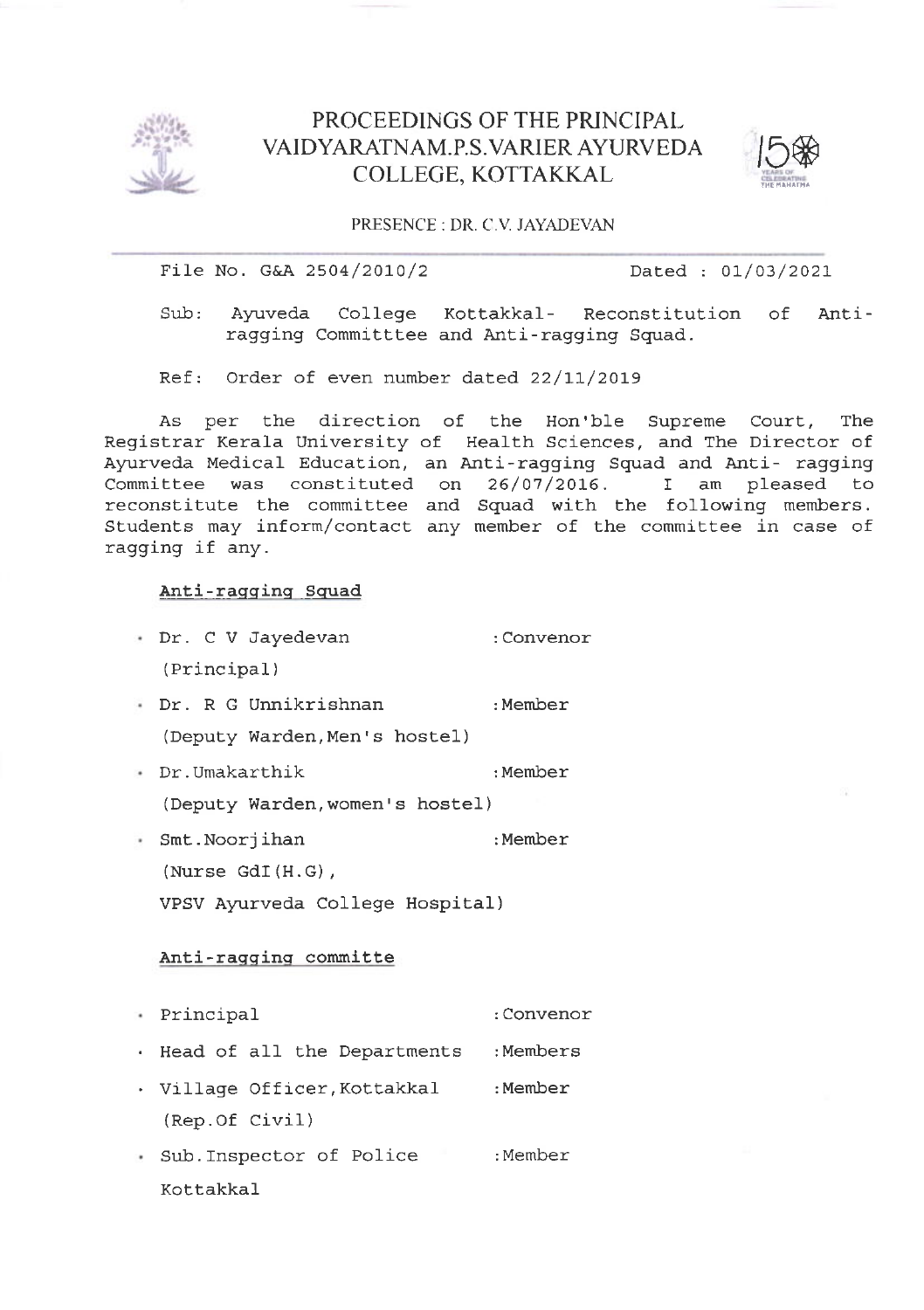

## PROCEEDINGS OF THE PRINCIPAL VAIDYARAINAM.P.S.VARIER AYURVEDA COLLEGE, KOTTAKKAL



PRESENCE : DR, C, V, JAYADEVAN

File No. G&A 2504/2010/2 Dated : 01/03/2021

Ayuveda College Kottakkal- Reconstitution of Antiragging Committtee and Anti-ragging Sguad. Sub:

Ref: Order of even number dated  $22/11/2019$ 

As per the direction of the Hon'ble Supreme Court, The Registrar Kerala University of Health Sciences, and The Director of Ayurveda Medical Education, an Anti-ragging Squad and Anti- ragging Committee was constituted on  $26/07/2016$ . I am pleased to reconstitute the committee and Squad with the following members. Students may inform/contact any member of the committee in case of ragging if any.

## Anti-ragginq squad

- Dr. C V Jayedevan : Convenor (Principal ) Dr. R G Unnikrishnan : Member
- (Deputy warden, Men's hostel )
- Dr.Umakarthik : Member (Deputy warden, women's hostel )
- SmE. Noorj ihan : Member (Nurse cdI (H. c) , VPSV Ayurveda College Hospital)

## Anti-ragging committe

- Princ ipal : Convenor
- . Head of all the Departments : Members
- . Village Officer, Kottakkal (Rep. of civil ) : Member
- Sub.Inspector of Police (Sub.Inspector of Police Kottakkal